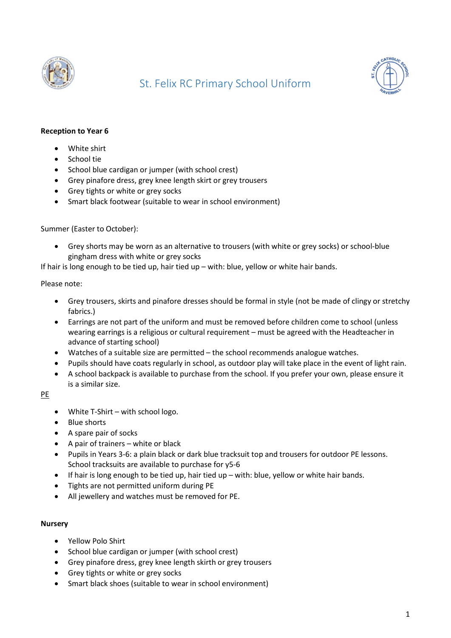

# St. Felix RC Primary School Uniform



### Reception to Year 6

- White shirt
- School tie
- School blue cardigan or jumper (with school crest)
- Grey pinafore dress, grey knee length skirt or grey trousers
- Grey tights or white or grey socks
- Smart black footwear (suitable to wear in school environment)

#### Summer (Easter to October):

 Grey shorts may be worn as an alternative to trousers (with white or grey socks) or school-blue gingham dress with white or grey socks

If hair is long enough to be tied up, hair tied up – with: blue, yellow or white hair bands.

#### Please note:

- Grey trousers, skirts and pinafore dresses should be formal in style (not be made of clingy or stretchy fabrics.)
- Earrings are not part of the uniform and must be removed before children come to school (unless wearing earrings is a religious or cultural requirement – must be agreed with the Headteacher in advance of starting school)
- Watches of a suitable size are permitted the school recommends analogue watches.
- Pupils should have coats regularly in school, as outdoor play will take place in the event of light rain.
- A school backpack is available to purchase from the school. If you prefer your own, please ensure it is a similar size.

## PE

- White T-Shirt with school logo.
- Blue shorts
- A spare pair of socks
- $\bullet$  A pair of trainers white or black
- Pupils in Years 3-6: a plain black or dark blue tracksuit top and trousers for outdoor PE lessons. School tracksuits are available to purchase for y5-6
- If hair is long enough to be tied up, hair tied up with: blue, yellow or white hair bands.
- Tights are not permitted uniform during PE
- All jewellery and watches must be removed for PE.

#### **Nursery**

- Yellow Polo Shirt
- School blue cardigan or jumper (with school crest)
- Grey pinafore dress, grey knee length skirth or grey trousers
- Grey tights or white or grey socks
- Smart black shoes (suitable to wear in school environment)